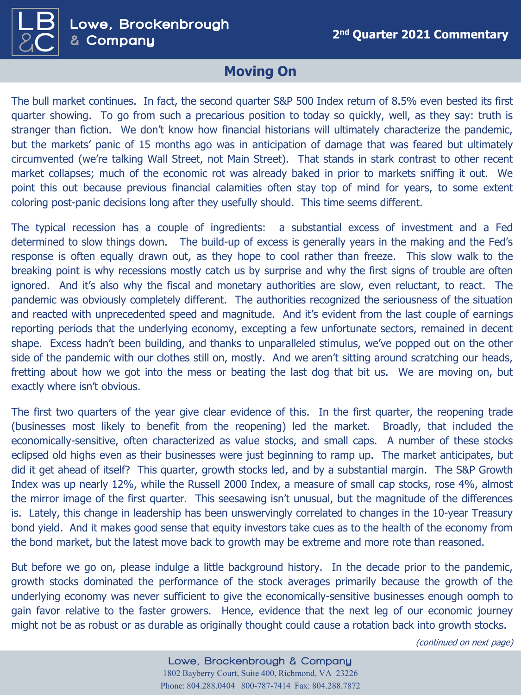

## **Moving On**

The bull market continues. In fact, the second quarter S&P 500 Index return of 8.5% even bested its first quarter showing. To go from such a precarious position to today so quickly, well, as they say: truth is stranger than fiction. We don't know how financial historians will ultimately characterize the pandemic, but the markets' panic of 15 months ago was in anticipation of damage that was feared but ultimately circumvented (we're talking Wall Street, not Main Street). That stands in stark contrast to other recent market collapses; much of the economic rot was already baked in prior to markets sniffing it out. We point this out because previous financial calamities often stay top of mind for years, to some extent coloring post-panic decisions long after they usefully should. This time seems different.

The typical recession has a couple of ingredients: a substantial excess of investment and a Fed determined to slow things down. The build-up of excess is generally years in the making and the Fed's response is often equally drawn out, as they hope to cool rather than freeze. This slow walk to the breaking point is why recessions mostly catch us by surprise and why the first signs of trouble are often ignored. And it's also why the fiscal and monetary authorities are slow, even reluctant, to react. The pandemic was obviously completely different. The authorities recognized the seriousness of the situation and reacted with unprecedented speed and magnitude. And it's evident from the last couple of earnings reporting periods that the underlying economy, excepting a few unfortunate sectors, remained in decent shape. Excess hadn't been building, and thanks to unparalleled stimulus, we've popped out on the other side of the pandemic with our clothes still on, mostly. And we aren't sitting around scratching our heads, fretting about how we got into the mess or beating the last dog that bit us. We are moving on, but exactly where isn't obvious.

The first two quarters of the year give clear evidence of this. In the first quarter, the reopening trade (businesses most likely to benefit from the reopening) led the market. Broadly, that included the economically-sensitive, often characterized as value stocks, and small caps. A number of these stocks eclipsed old highs even as their businesses were just beginning to ramp up. The market anticipates, but did it get ahead of itself? This quarter, growth stocks led, and by a substantial margin. The S&P Growth Index was up nearly 12%, while the Russell 2000 Index, a measure of small cap stocks, rose 4%, almost the mirror image of the first quarter. This seesawing isn't unusual, but the magnitude of the differences is. Lately, this change in leadership has been unswervingly correlated to changes in the 10-year Treasury bond yield. And it makes good sense that equity investors take cues as to the health of the economy from the bond market, but the latest move back to growth may be extreme and more rote than reasoned.

But before we go on, please indulge a little background history. In the decade prior to the pandemic, growth stocks dominated the performance of the stock averages primarily because the growth of the underlying economy was never sufficient to give the economically-sensitive businesses enough oomph to gain favor relative to the faster growers. Hence, evidence that the next leg of our economic journey might not be as robust or as durable as originally thought could cause a rotation back into growth stocks.

(continued on next page)